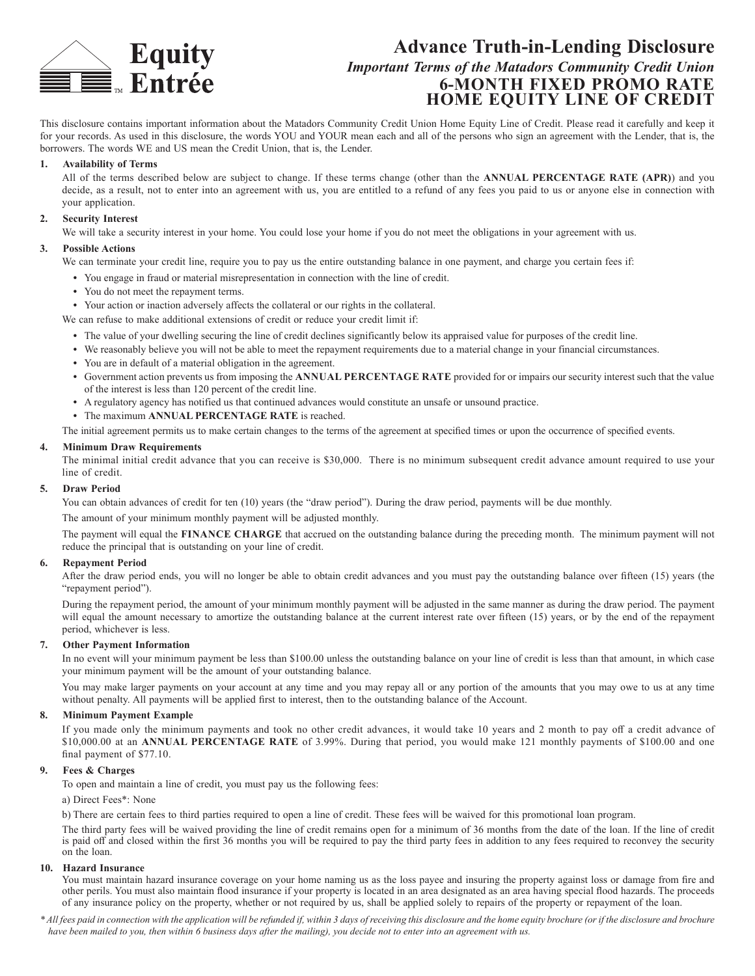

# **Advance Truth-in-Lending Disclosure** *Important Terms of the Matadors Community Credit Union* **6-MONTH FIXED PROMO RATE HOME EQUITY LINE OF CREDIT**

This disclosure contains important information about the Matadors Community Credit Union Home Equity Line of Credit. Please read it carefully and keep it for your records. As used in this disclosure, the words YOU and YOUR mean each and all of the persons who sign an agreement with the Lender, that is, the borrowers. The words WE and US mean the Credit Union, that is, the Lender.

## **1. Availability of Terms**

All of the terms described below are subject to change. If these terms change (other than the **ANNUAL PERCENTAGE RATE (APR)**) and you decide, as a result, not to enter into an agreement with us, you are entitled to a refund of any fees you paid to us or anyone else in connection with your application.

## **2. Security Interest**

We will take a security interest in your home. You could lose your home if you do not meet the obligations in your agreement with us.

## **3. Possible Actions**

We can terminate your credit line, require you to pay us the entire outstanding balance in one payment, and charge you certain fees if:

- **•** You engage in fraud or material misrepresentation in connection with the line of credit.
- **•** You do not meet the repayment terms.

**•** Your action or inaction adversely affects the collateral or our rights in the collateral.

- We can refuse to make additional extensions of credit or reduce your credit limit if:
	- The value of your dwelling securing the line of credit declines significantly below its appraised value for purposes of the credit line.
	- **•** We reasonably believe you will not be able to meet the repayment requirements due to a material change in your financial circumstances.
	- **•** You are in default of a material obligation in the agreement.
	- **•** Government action prevents us from imposing the **ANNUAL PERCENTAGE RATE** provided for or impairs our security interest such that the value of the interest is less than 120 percent of the credit line.
	- **•** A regulatory agency has notified us that continued advances would constitute an unsafe or unsound practice.
	- **•** The maximum **ANNUAL PERCENTAGE RATE** is reached.

The initial agreement permits us to make certain changes to the terms of the agreement at specified times or upon the occurrence of specified events.

## **4. Minimum Draw Requirements**

The minimal initial credit advance that you can receive is \$30,000. There is no minimum subsequent credit advance amount required to use your line of credit.

## **5. Draw Period**

You can obtain advances of credit for ten (10) years (the "draw period"). During the draw period, payments will be due monthly.

The amount of your minimum monthly payment will be adjusted monthly.

The payment will equal the **FINANCE CHARGE** that accrued on the outstanding balance during the preceding month. The minimum payment will not reduce the principal that is outstanding on your line of credit.

#### **6. Repayment Period**

After the draw period ends, you will no longer be able to obtain credit advances and you must pay the outstanding balance over fifteen (15) years (the "repayment period").

During the repayment period, the amount of your minimum monthly payment will be adjusted in the same manner as during the draw period. The payment will equal the amount necessary to amortize the outstanding balance at the current interest rate over fifteen (15) years, or by the end of the repayment period, whichever is less.

#### **7. Other Payment Information**

In no event will your minimum payment be less than \$100.00 unless the outstanding balance on your line of credit is less than that amount, in which case your minimum payment will be the amount of your outstanding balance.

You may make larger payments on your account at any time and you may repay all or any portion of the amounts that you may owe to us at any time without penalty. All payments will be applied first to interest, then to the outstanding balance of the Account.

## **8. Minimum Payment Example**

If you made only the minimum payments and took no other credit advances, it would take 10 years and 2 month to pay off a credit advance of \$10,000.00 at an **ANNUAL PERCENTAGE RATE** of 3.99%. During that period, you would make 121 monthly payments of \$100.00 and one final payment of \$77.10.

## **9. Fees & Charges**

To open and maintain a line of credit, you must pay us the following fees:

## a) Direct Fees\*: None

b) There are certain fees to third parties required to open a line of credit. These fees will be waived for this promotional loan program.

The third party fees will be waived providing the line of credit remains open for a minimum of 36 months from the date of the loan. If the line of credit is paid off and closed within the first 36 months you will be required to pay the third party fees in addition to any fees required to reconvey the security on the loan.

## **10. Hazard Insurance**

You must maintain hazard insurance coverage on your home naming us as the loss payee and insuring the property against loss or damage from fire and other perils. You must also maintain flood insurance if your property is located in an area designated as an area having special flood hazards. The proceeds of any insurance policy on the property, whether or not required by us, shall be applied solely to repairs of the property or repayment of the loan.

*\* All fees paid in connection with the application will be refunded if, within 3 days of receiving this disclosure and the home equity brochure (or if the disclosure and brochure have been mailed to you, then within 6 business days after the mailing), you decide not to enter into an agreement with us.*